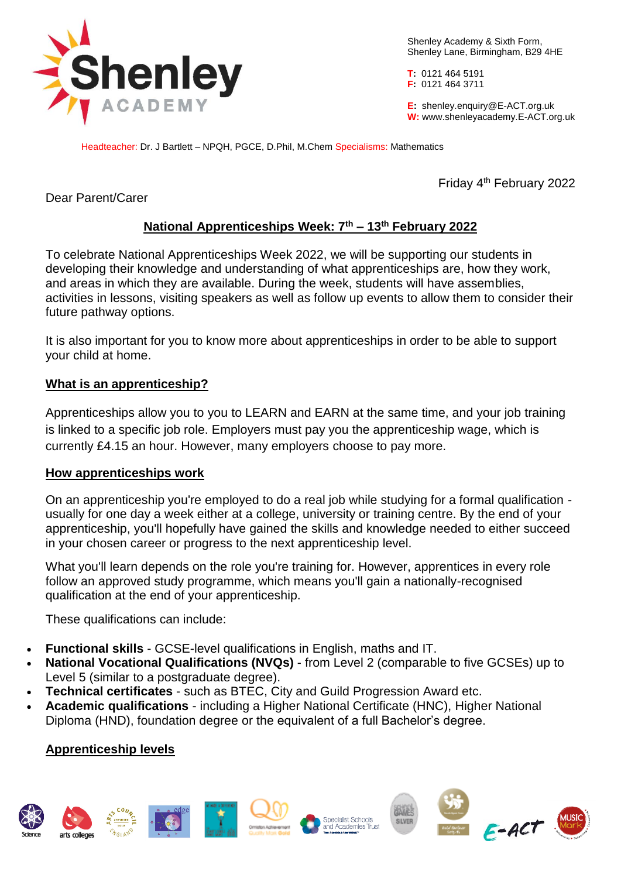

Shenley Academy & Sixth Form, Shenley Lane, Birmingham, B29 4HE

**T:** 0121 464 5191 **F:** 0121 464 3711

**E:** shenley[.enquiry@E-ACT.org.uk](mailto:enquiry@E-ACT.org.uk) **W:** www.shenleyacademy.E-ACT.org.uk

Headteacher: Dr. J Bartlett – NPQH, PGCE, D.Phil, M.Chem Specialisms: Mathematics

Friday 4th February 2022

Dear Parent/Carer

# **National Apprenticeships Week: 7th – 13th February 2022**

To celebrate National Apprenticeships Week 2022, we will be supporting our students in developing their knowledge and understanding of what apprenticeships are, how they work, and areas in which they are available. During the week, students will have assemblies, activities in lessons, visiting speakers as well as follow up events to allow them to consider their future pathway options.

It is also important for you to know more about apprenticeships in order to be able to support your child at home.

## **What is an apprenticeship?**

Apprenticeships allow you to you to LEARN and EARN at the same time, and your job training is linked to a specific job role. Employers must pay you the apprenticeship wage, which is currently £4.15 an hour. However, many employers choose to pay more.

### **How apprenticeships work**

On an apprenticeship you're employed to do a real job while studying for a formal qualification usually for one day a week either at a college, university or training centre. By the end of your apprenticeship, you'll hopefully have gained the skills and knowledge needed to either succeed in your chosen career or progress to the next apprenticeship level.

What you'll learn depends on the role you're training for. However, apprentices in every role follow an approved study programme, which means you'll gain a nationally-recognised qualification at the end of your apprenticeship.

These qualifications can include:

- **Functional skills** GCSE-level qualifications in English, maths and IT.
- **National Vocational Qualifications (NVQs)** from Level 2 (comparable to five GCSEs) up to Level 5 (similar to a postgraduate degree).
- **Technical certificates** such as BTEC, City and Guild Progression Award etc.
- **Academic qualifications** including a Higher National Certificate (HNC), [Higher National](https://www.prospects.ac.uk/applying-for-university/choosing-a-course/hnd-courses)  [Diploma \(HND\),](https://www.prospects.ac.uk/applying-for-university/choosing-a-course/hnd-courses) [foundation degree](https://www.prospects.ac.uk/applying-for-university/choosing-a-course/foundation-degrees) or the equivalent of a full Bachelor's degree.

## **Apprenticeship levels**











**BANK** 

SILVER



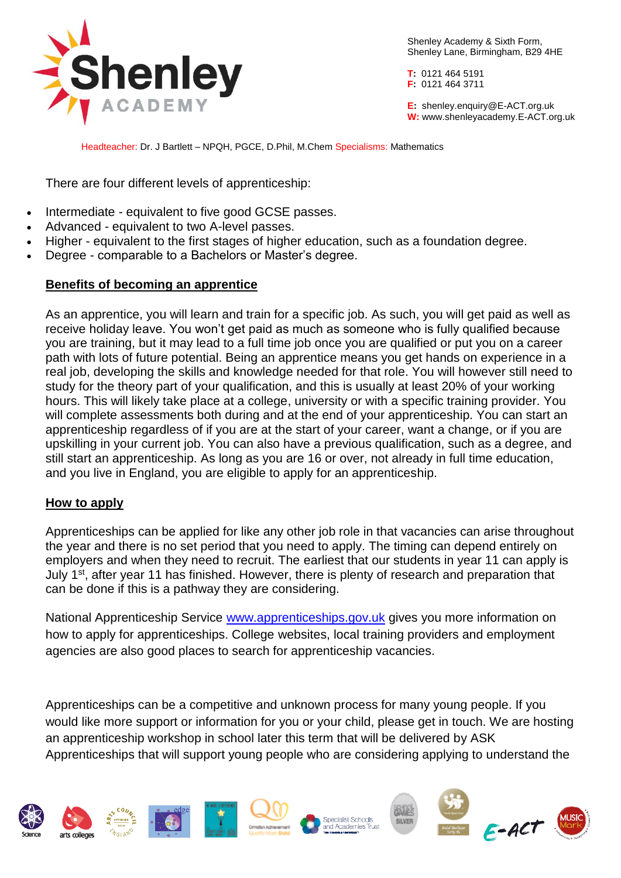

Shenley Academy & Sixth Form, Shenley Lane, Birmingham, B29 4HE

**T:** 0121 464 5191 **F:** 0121 464 3711

**E:** shenley[.enquiry@E-ACT.org.uk](mailto:enquiry@E-ACT.org.uk) **W:** www.shenleyacademy.E-ACT.org.uk

Headteacher: Dr. J Bartlett – NPQH, PGCE, D.Phil, M.Chem Specialisms: Mathematics

There are four different levels of apprenticeship:

- Intermediate equivalent to five good GCSE passes.
- Advanced equivalent to two A-level passes.
- Higher equivalent to the first stages of higher education, such as a foundation degree.
- Degree comparable to a Bachelors or Master's degree.

#### **Benefits of becoming an apprentice**

As an apprentice, you will learn and train for a specific job. As such, you will get paid as well as receive holiday leave. You won't get paid as much as someone who is fully qualified because you are training, but it may lead to a full time job once you are qualified or put you on a career path with lots of future potential. Being an apprentice means you get hands on experience in a real job, developing the skills and knowledge needed for that role. You will however still need to study for the theory part of your qualification, and this is usually at least 20% of your working hours. This will likely take place at a college, university or with a specific training provider. You will complete assessments both during and at the end of your apprenticeship. You can start an apprenticeship regardless of if you are at the start of your career, want a change, or if you are upskilling in your current job. You can also have a previous qualification, such as a degree, and still start an apprenticeship. As long as you are 16 or over, not already in full time education, and you live in England, you are eligible to apply for an apprenticeship.

### **How to apply**

Apprenticeships can be applied for like any other job role in that vacancies can arise throughout the year and there is no set period that you need to apply. The timing can depend entirely on employers and when they need to recruit. The earliest that our students in year 11 can apply is July 1<sup>st</sup>, after year 11 has finished. However, there is plenty of research and preparation that can be done if this is a pathway they are considering.

National Apprenticeship Service [www.apprenticeships.gov.uk](http://www.apprenticeships.gov.uk/) gives you more information on how to apply for apprenticeships. College websites, local training providers and employment agencies are also good places to search for apprenticeship vacancies.

Apprenticeships can be a competitive and unknown process for many young people. If you would like more support or information for you or your child, please get in touch. We are hosting an apprenticeship workshop in school later this term that will be delivered by ASK Apprenticeships that will support young people who are considering applying to understand the